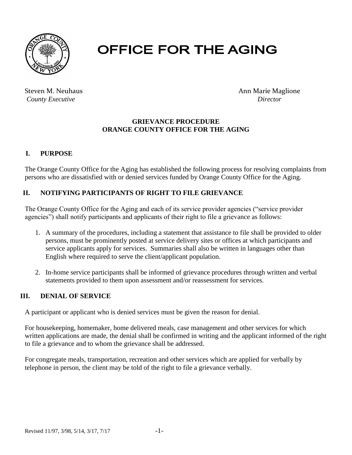

# **OFFICE FOR THE AGING**

*County Executive Director Director* 

Steven M. Neuhaus **Announce Announce Announce** Ann Marie Maglione

#### **GRIEVANCE PROCEDURE ORANGE COUNTY OFFICE FOR THE AGING**

# **I. PURPOSE**

The Orange County Office for the Aging has established the following process for resolving complaints from persons who are dissatisfied with or denied services funded by Orange County Office for the Aging.

### **II. NOTIFYING PARTICIPANTS OF RIGHT TO FILE GRIEVANCE**

The Orange County Office for the Aging and each of its service provider agencies ("service provider agencies") shall notify participants and applicants of their right to file a grievance as follows:

- 1. A summary of the procedures, including a statement that assistance to file shall be provided to older persons, must be prominently posted at service delivery sites or offices at which participants and service applicants apply for services. Summaries shall also be written in languages other than English where required to serve the client/applicant population.
- 2. In-home service participants shall be informed of grievance procedures through written and verbal statements provided to them upon assessment and/or reassessment for services.

#### **III. DENIAL OF SERVICE**

A participant or applicant who is denied services must be given the reason for denial.

For housekeeping, homemaker, home delivered meals, case management and other services for which written applications are made, the denial shall be confirmed in writing and the applicant informed of the right to file a grievance and to whom the grievance shall be addressed.

For congregate meals, transportation, recreation and other services which are applied for verbally by telephone in person, the client may be told of the right to file a grievance verbally.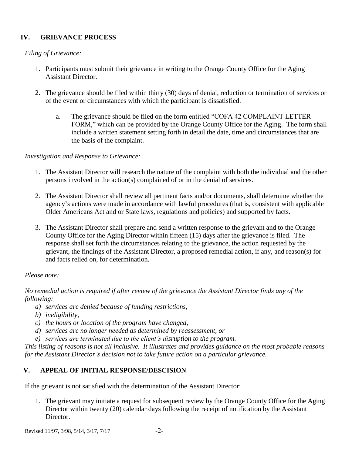# **IV. GRIEVANCE PROCESS**

### *Filing of Grievance:*

- 1. Participants must submit their grievance in writing to the Orange County Office for the Aging Assistant Director.
- 2. The grievance should be filed within thirty (30) days of denial, reduction or termination of services or of the event or circumstances with which the participant is dissatisfied.
	- a. The grievance should be filed on the form entitled "COFA 42 COMPLAINT LETTER FORM," which can be provided by the Orange County Office for the Aging. The form shall include a written statement setting forth in detail the date, time and circumstances that are the basis of the complaint.

#### *Investigation and Response to Grievance:*

- 1. The Assistant Director will research the nature of the complaint with both the individual and the other persons involved in the action(s) complained of or in the denial of services.
- 2. The Assistant Director shall review all pertinent facts and/or documents, shall determine whether the agency's actions were made in accordance with lawful procedures (that is, consistent with applicable Older Americans Act and or State laws, regulations and policies) and supported by facts.
- 3. The Assistant Director shall prepare and send a written response to the grievant and to the Orange County Office for the Aging Director within fifteen (15) days after the grievance is filed. The response shall set forth the circumstances relating to the grievance, the action requested by the grievant, the findings of the Assistant Director, a proposed remedial action, if any, and reason(s) for and facts relied on, for determination.

# *Please note:*

*No remedial action is required if after review of the grievance the Assistant Director finds any of the following:*

- *a) services are denied because of funding restrictions,*
- *b) ineligibility,*
- *c) the hours or location of the program have changed,*
- *d) services are no longer needed as determined by reassessment, or*
- *e) services are terminated due to the client's disruption to the program.*

*This listing of reasons is not all inclusive. It illustrates and provides guidance on the most probable reasons for the Assistant Director's decision not to take future action on a particular grievance.*

# **V. APPEAL OF INITIAL RESPONSE/DESCISION**

If the grievant is not satisfied with the determination of the Assistant Director:

1. The grievant may initiate a request for subsequent review by the Orange County Office for the Aging Director within twenty (20) calendar days following the receipt of notification by the Assistant Director.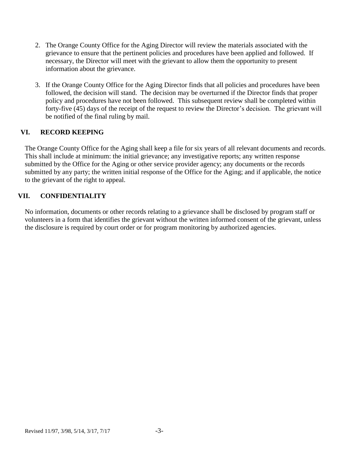- 2. The Orange County Office for the Aging Director will review the materials associated with the grievance to ensure that the pertinent policies and procedures have been applied and followed. If necessary, the Director will meet with the grievant to allow them the opportunity to present information about the grievance.
- 3. If the Orange County Office for the Aging Director finds that all policies and procedures have been followed, the decision will stand. The decision may be overturned if the Director finds that proper policy and procedures have not been followed. This subsequent review shall be completed within forty-five (45) days of the receipt of the request to review the Director's decision. The grievant will be notified of the final ruling by mail.

### **VI. RECORD KEEPING**

The Orange County Office for the Aging shall keep a file for six years of all relevant documents and records. This shall include at minimum: the initial grievance; any investigative reports; any written response submitted by the Office for the Aging or other service provider agency; any documents or the records submitted by any party; the written initial response of the Office for the Aging; and if applicable, the notice to the grievant of the right to appeal.

### **VII. CONFIDENTIALITY**

No information, documents or other records relating to a grievance shall be disclosed by program staff or volunteers in a form that identifies the grievant without the written informed consent of the grievant, unless the disclosure is required by court order or for program monitoring by authorized agencies.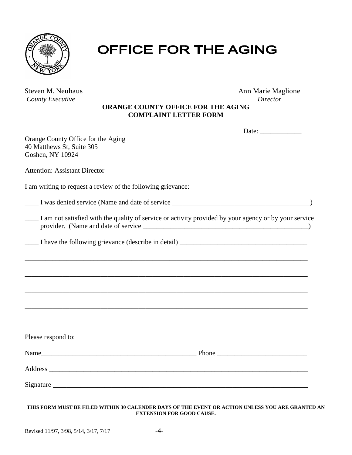

# OFFICE FOR THE AGING

| Steven M. Neuhaus       | Ann Marie Mag |
|-------------------------|---------------|
| <b>County Executive</b> | Director      |

Ann Marie Maglione

#### **ORANGE COUNTY OFFICE FOR THE AGING COMPLAINT LETTER FORM**

|                                                                                                       | Date: $\frac{1}{\sqrt{1-\frac{1}{2}}\cdot\frac{1}{2}}$ |
|-------------------------------------------------------------------------------------------------------|--------------------------------------------------------|
| Orange County Office for the Aging<br>40 Matthews St, Suite 305<br>Goshen, NY 10924                   |                                                        |
| <b>Attention: Assistant Director</b>                                                                  |                                                        |
| I am writing to request a review of the following grievance:                                          |                                                        |
| I was denied service (Name and date of service _________________________________                      |                                                        |
| I am not satisfied with the quality of service or activity provided by your agency or by your service |                                                        |
| I have the following grievance (describe in detail) _____________________________                     |                                                        |
|                                                                                                       |                                                        |
|                                                                                                       |                                                        |
|                                                                                                       |                                                        |
|                                                                                                       |                                                        |
|                                                                                                       |                                                        |
| Please respond to:                                                                                    |                                                        |
|                                                                                                       |                                                        |
|                                                                                                       |                                                        |
|                                                                                                       |                                                        |
|                                                                                                       |                                                        |

#### **THIS FORM MUST BE FILED WITHIN 30 CALENDER DAYS OF THE EVENT OR ACTION UNLESS YOU ARE GRANTED AN EXTENSION FOR GOOD CAUSE.**